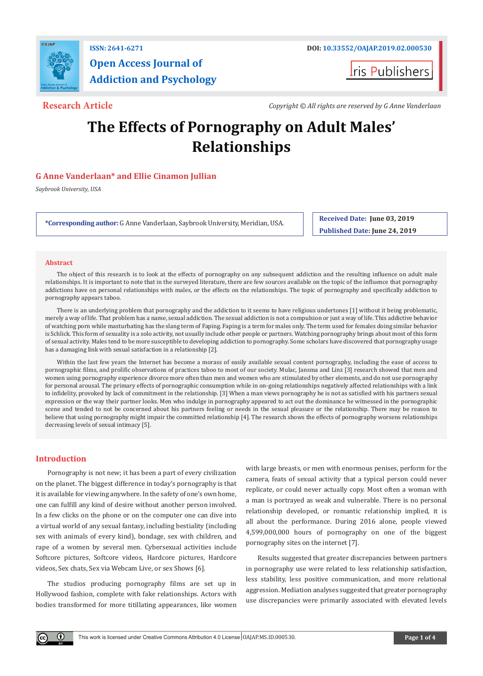

# **ISSN: 2641-6271 DOI: [10.33552/OAJAP.2019.02.000530](http://dx.doi.org/10.33552/OAJAP.2019.02.000530) Open Access Journal of Addiction and Psychology**

**I**ris Publishers

**Research Article** *Copyright © All rights are reserved by G Anne Vanderlaan*

# **The Effects of Pornography on Adult Males' Relationships**

# **G Anne Vanderlaan\* and Ellie Cinamon Jullian**

*Saybrook University, USA*

**\*Corresponding author:** G Anne Vanderlaan, Saybrook University, Meridian, USA. **Received Date: June 03, 2019** 

**Published Date: June 24, 2019**

## **Abstract**

The object of this research is to look at the effects of pornography on any subsequent addiction and the resulting influence on adult male relationships. It is important to note that in the surveyed literature, there are few sources available on the topic of the influence that pornography addictions have on personal relationships with males, or the effects on the relationships. The topic of pornography and specifically addiction to pornography appears taboo.

There is an underlying problem that pornography and the addiction to it seems to have religious undertones [1] without it being problematic, merely a way of life. That problem has a name, sexual addiction. The sexual addiction is not a compulsion or just a way of life. This addictive behavior of watching porn while masturbating has the slang term of Faping. Faping is a term for males only. The term used for females doing similar behavior is Schlick. This form of sexuality is a solo activity, not usually include other people or partners. Watching pornography brings about most of this form of sexual activity. Males tend to be more susceptible to developing addiction to pornography. Some scholars have discovered that pornography usage has a damaging link with sexual satisfaction in a relationship [2].

Within the last few years the Internet has become a morass of easily available sexual content pornography, including the ease of access to pornographic films, and prolific observations of practices taboo to most of our society. Mulac, Jansma and Linz [3] research showed that men and women using pornography experience divorce more often than men and women who are stimulated by other elements, and do not use pornography for personal arousal. The primary effects of pornographic consumption while in on-going relationships negatively affected relationships with a link to infidelity, provoked by lack of commitment in the relationship. [3] When a man views pornography he is not as satisfied with his partners sexual expression or the way their partner looks. Men who indulge in pornography appeared to act out the dominance he witnessed in the pornographic scene and tended to not be concerned about his partners feeling or needs in the sexual pleasure or the relationship. There may be reason to believe that using pornography might impair the committed relationship [4]. The research shows the effects of pornography worsens relationships decreasing levels of sexual intimacy [5].

# **Introduction**

 $\left( \mathbf{r} \right)$ 

Pornography is not new; it has been a part of every civilization on the planet. The biggest difference in today's pornography is that it is available for viewing anywhere. In the safety of one's own home, one can fulfill any kind of desire without another person involved. In a few clicks on the phone or on the computer one can dive into a virtual world of any sexual fantasy, including bestiality (including sex with animals of every kind), bondage, sex with children, and rape of a women by several men. Cybersexual activities include Softcore pictures, Softcore videos, Hardcore pictures, Hardcore videos, Sex chats, Sex via Webcam Live, or sex Shows [6].

The studios producing pornography films are set up in Hollywood fashion, complete with fake relationships. Actors with bodies transformed for more titillating appearances, like women

with large breasts, or men with enormous penises, perform for the camera, feats of sexual activity that a typical person could never replicate, or could never actually copy. Most often a woman with a man is portrayed as weak and vulnerable. There is no personal relationship developed, or romantic relationship implied, it is all about the performance. During 2016 alone, people viewed 4,599,000,000 hours of pornography on one of the biggest pornography sites on the internet [7].

Results suggested that greater discrepancies between partners in pornography use were related to less relationship satisfaction, less stability, less positive communication, and more relational aggression. Mediation analyses suggested that greater pornography use discrepancies were primarily associated with elevated levels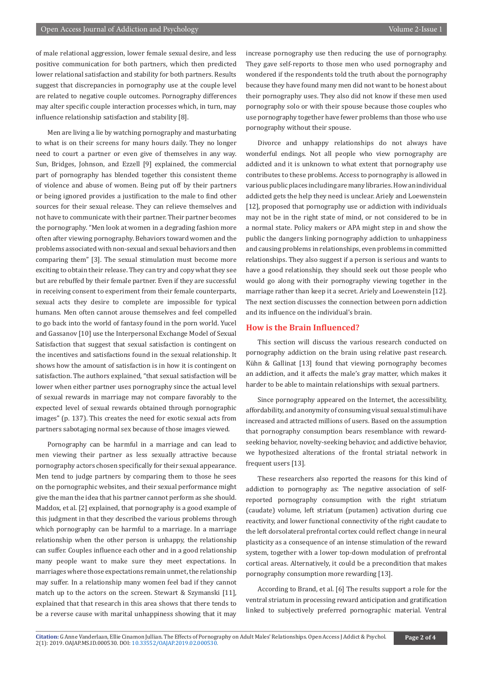of male relational aggression, lower female sexual desire, and less positive communication for both partners, which then predicted lower relational satisfaction and stability for both partners. Results suggest that discrepancies in pornography use at the couple level are related to negative couple outcomes. Pornography differences may alter specific couple interaction processes which, in turn, may influence relationship satisfaction and stability [8].

Men are living a lie by watching pornography and masturbating to what is on their screens for many hours daily. They no longer need to court a partner or even give of themselves in any way. Sun, Bridges, Johnson, and Ezzell [9] explained, the commercial part of pornography has blended together this consistent theme of violence and abuse of women. Being put off by their partners or being ignored provides a justification to the male to find other sources for their sexual release. They can relieve themselves and not have to communicate with their partner. Their partner becomes the pornography. "Men look at women in a degrading fashion more often after viewing pornography. Behaviors toward women and the problems associated with non-sexual and sexual behaviors and then comparing them" [3]. The sexual stimulation must become more exciting to obtain their release. They can try and copy what they see but are rebuffed by their female partner. Even if they are successful in receiving consent to experiment from their female counterparts, sexual acts they desire to complete are impossible for typical humans. Men often cannot arouse themselves and feel compelled to go back into the world of fantasy found in the porn world. Yucel and Gassanov [10] use the Interpersonal Exchange Model of Sexual Satisfaction that suggest that sexual satisfaction is contingent on the incentives and satisfactions found in the sexual relationship. It shows how the amount of satisfaction is in how it is contingent on satisfaction. The authors explained, "that sexual satisfaction will be lower when either partner uses pornography since the actual level of sexual rewards in marriage may not compare favorably to the expected level of sexual rewards obtained through pornographic images" (p. 137). This creates the need for exotic sexual acts from partners sabotaging normal sex because of those images viewed.

Pornography can be harmful in a marriage and can lead to men viewing their partner as less sexually attractive because pornography actors chosen specifically for their sexual appearance. Men tend to judge partners by comparing them to those he sees on the pornographic websites, and their sexual performance might give the man the idea that his partner cannot perform as she should. Maddox, et al. [2] explained, that pornography is a good example of this judgment in that they described the various problems through which pornography can be harmful to a marriage. In a marriage relationship when the other person is unhappy, the relationship can suffer. Couples influence each other and in a good relationship many people want to make sure they meet expectations. In marriages where those expectations remain unmet, the relationship may suffer. In a relationship many women feel bad if they cannot match up to the actors on the screen. Stewart & Szymanski [11], explained that that research in this area shows that there tends to be a reverse cause with marital unhappiness showing that it may

increase pornography use then reducing the use of pornography. They gave self-reports to those men who used pornography and wondered if the respondents told the truth about the pornography because they have found many men did not want to be honest about their pornography uses. They also did not know if these men used pornography solo or with their spouse because those couples who use pornography together have fewer problems than those who use pornography without their spouse.

Divorce and unhappy relationships do not always have wonderful endings. Not all people who view pornography are addicted and it is unknown to what extent that pornography use contributes to these problems. Access to pornography is allowed in various public places including are many libraries. How an individual addicted gets the help they need is unclear. Ariely and Loewenstein [12], proposed that pornography use or addiction with individuals may not be in the right state of mind, or not considered to be in a normal state. Policy makers or APA might step in and show the public the dangers linking pornography addiction to unhappiness and causing problems in relationships, even problems in committed relationships. They also suggest if a person is serious and wants to have a good relationship, they should seek out those people who would go along with their pornography viewing together in the marriage rather than keep it a secret. Ariely and Loewenstein [12]. The next section discusses the connection between porn addiction and its influence on the individual's brain.

### **How is the Brain Influenced?**

This section will discuss the various research conducted on pornography addiction on the brain using relative past research. Kühn & Gallinat [13] found that viewing pornography becomes an addiction, and it affects the male's gray matter, which makes it harder to be able to maintain relationships with sexual partners.

Since pornography appeared on the Internet, the accessibility, affordability, and anonymity of consuming visual sexual stimuli have increased and attracted millions of users. Based on the assumption that pornography consumption bears resemblance with rewardseeking behavior, novelty-seeking behavior, and addictive behavior, we hypothesized alterations of the frontal striatal network in frequent users [13].

These researchers also reported the reasons for this kind of addiction to pornography as: The negative association of selfreported pornography consumption with the right striatum (caudate) volume, left striatum (putamen) activation during cue reactivity, and lower functional connectivity of the right caudate to the left dorsolateral prefrontal cortex could reflect change in neural plasticity as a consequence of an intense stimulation of the reward system, together with a lower top-down modulation of prefrontal cortical areas. Alternatively, it could be a precondition that makes pornography consumption more rewarding [13].

According to Brand, et al. [6] The results support a role for the ventral striatum in processing reward anticipation and gratification linked to subjectively preferred pornographic material. Ventral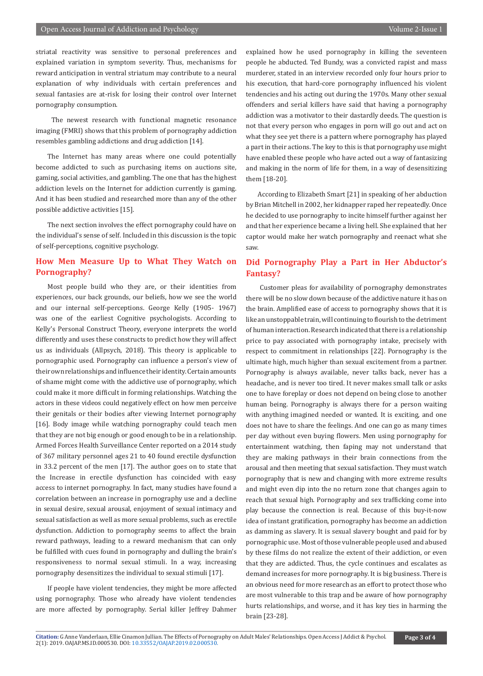striatal reactivity was sensitive to personal preferences and explained variation in symptom severity. Thus, mechanisms for reward anticipation in ventral striatum may contribute to a neural explanation of why individuals with certain preferences and sexual fantasies are at-risk for losing their control over Internet pornography consumption.

 The newest research with functional magnetic resonance imaging (FMRI) shows that this problem of pornography addiction resembles gambling addictions and drug addiction [14].

The Internet has many areas where one could potentially become addicted to such as purchasing items on auctions site, gaming, social activities, and gambling. The one that has the highest addiction levels on the Internet for addiction currently is gaming. And it has been studied and researched more than any of the other possible addictive activities [15].

The next section involves the effect pornography could have on the individual's sense of self. Included in this discussion is the topic of self-perceptions, cognitive psychology.

# **How Men Measure Up to What They Watch on Pornography?**

Most people build who they are, or their identities from experiences, our back grounds, our beliefs, how we see the world and our internal self-perceptions. George Kelly (1905- 1967) was one of the earliest Cognitive psychologists. According to Kelly's Personal Construct Theory, everyone interprets the world differently and uses these constructs to predict how they will affect us as individuals (Allpsych, 2018). This theory is applicable to pornographic used. Pornography can influence a person's view of their own relationships and influence their identity. Certain amounts of shame might come with the addictive use of pornography, which could make it more difficult in forming relationships. Watching the actors in these videos could negatively effect on how men perceive their genitals or their bodies after viewing Internet pornography [16]. Body image while watching pornography could teach men that they are not big enough or good enough to be in a relationship. Armed Forces Health Surveillance Center reported on a 2014 study of 367 military personnel ages 21 to 40 found erectile dysfunction in 33.2 percent of the men [17]. The author goes on to state that the Increase in erectile dysfunction has coincided with easy access to internet pornography. In fact, many studies have found a correlation between an increase in pornography use and a decline in sexual desire, sexual arousal, enjoyment of sexual intimacy and sexual satisfaction as well as more sexual problems, such as erectile dysfunction. Addiction to pornography seems to affect the brain reward pathways, leading to a reward mechanism that can only be fulfilled with cues found in pornography and dulling the brain's responsiveness to normal sexual stimuli. In a way, increasing pornography desensitizes the individual to sexual stimuli [17].

If people have violent tendencies, they might be more affected using pornography. Those who already have violent tendencies are more affected by pornography. Serial killer Jeffrey Dahmer explained how he used pornography in killing the seventeen people he abducted. Ted Bundy, was a convicted rapist and mass murderer, stated in an interview recorded only four hours prior to his execution, that hard-core pornography influenced his violent tendencies and his acting out during the 1970s. Many other sexual offenders and serial killers have said that having a pornography addiction was a motivator to their dastardly deeds. The question is not that every person who engages in porn will go out and act on what they see yet there is a pattern where pornography has played a part in their actions. The key to this is that pornography use might have enabled these people who have acted out a way of fantasizing and making in the norm of life for them, in a way of desensitizing them [18-20].

According to Elizabeth Smart [21] in speaking of her abduction by Brian Mitchell in 2002, her kidnapper raped her repeatedly. Once he decided to use pornography to incite himself further against her and that her experience became a living hell. She explained that her captor would make her watch pornography and reenact what she saw.

# **Did Pornography Play a Part in Her Abductor's Fantasy?**

 Customer pleas for availability of pornography demonstrates there will be no slow down because of the addictive nature it has on the brain. Amplified ease of access to pornography shows that it is like an unstoppable train, will continuing to flourish to the detriment of human interaction. Research indicated that there is a relationship price to pay associated with pornography intake, precisely with respect to commitment in relationships [22]. Pornography is the ultimate high, much higher than sexual excitement from a partner. Pornography is always available, never talks back, never has a headache, and is never too tired. It never makes small talk or asks one to have foreplay or does not depend on being close to another human being. Pornography is always there for a person waiting with anything imagined needed or wanted. It is exciting, and one does not have to share the feelings. And one can go as many times per day without even buying flowers. Men using pornography for entertainment watching, then faping may not understand that they are making pathways in their brain connections from the arousal and then meeting that sexual satisfaction. They must watch pornography that is new and changing with more extreme results and might even dip into the no return zone that changes again to reach that sexual high. Pornography and sex trafficking come into play because the connection is real. Because of this buy-it-now idea of instant gratification, pornography has become an addiction as damming as slavery. It is sexual slavery bought and paid for by pornographic use. Most of those vulnerable people used and abused by these films do not realize the extent of their addiction, or even that they are addicted. Thus, the cycle continues and escalates as demand increases for more pornography. It is big business. There is an obvious need for more research as an effort to protect those who are most vulnerable to this trap and be aware of how pornography hurts relationships, and worse, and it has key ties in harming the brain [23-28].